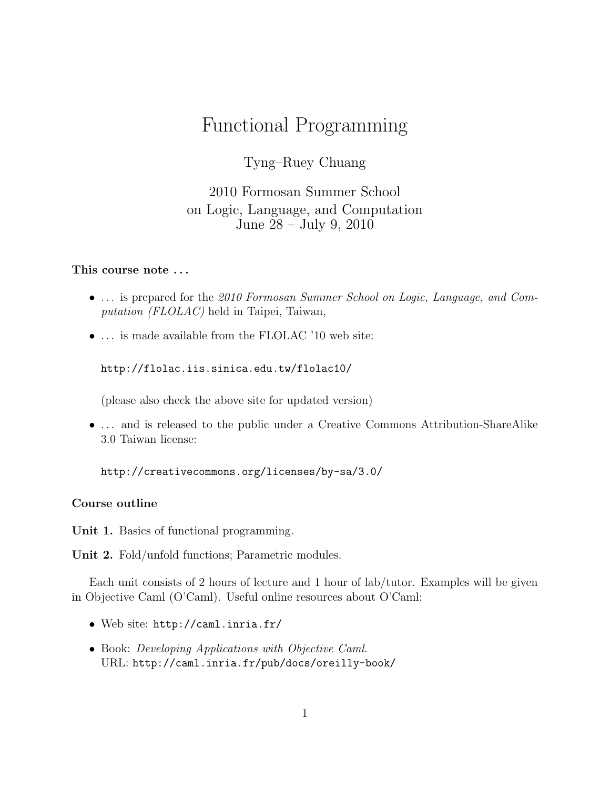# Functional Programming

Tyng–Ruey Chuang

2010 Formosan Summer School on Logic, Language, and Computation June 28 – July 9, 2010

# This course note . . .

- ... is prepared for the 2010 Formosan Summer School on Logic, Language, and Computation (FLOLAC) held in Taipei, Taiwan,
- ... is made available from the FLOLAC '10 web site:

http://flolac.iis.sinica.edu.tw/flolac10/

(please also check the above site for updated version)

• ... and is released to the public under a Creative Commons Attribution-ShareAlike 3.0 Taiwan license:

http://creativecommons.org/licenses/by-sa/3.0/

# Course outline

Unit 1. Basics of functional programming.

Unit 2. Fold/unfold functions; Parametric modules.

Each unit consists of 2 hours of lecture and 1 hour of lab/tutor. Examples will be given in Objective Caml (O'Caml). Useful online resources about O'Caml:

- Web site: http://caml.inria.fr/
- Book: Developing Applications with Objective Caml. URL: http://caml.inria.fr/pub/docs/oreilly-book/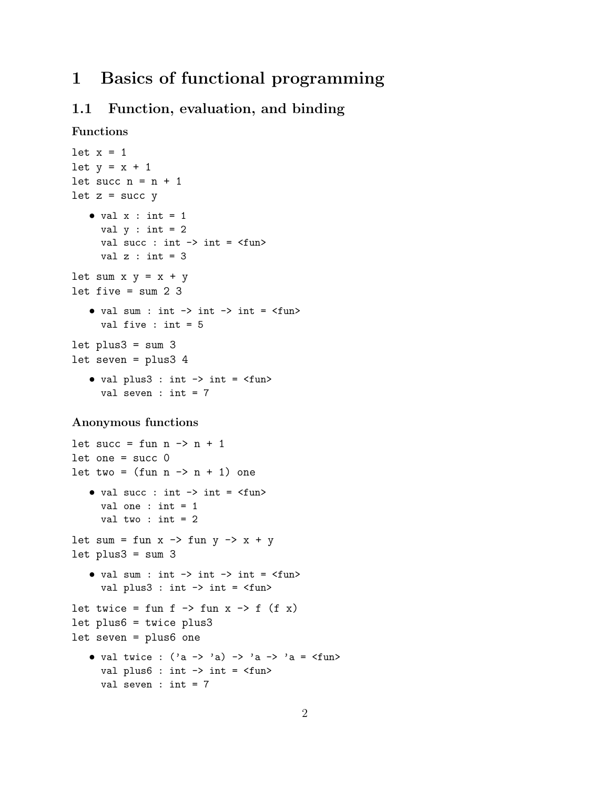# 1 Basics of functional programming

# 1.1 Function, evaluation, and binding

```
Functions
```

```
let x = 1let y = x + 1let succ n = n + 1let z = succ y• val x : int = 1val y : int = 2val succ : int \rightarrow int = \langlefun>
     val z : int = 3let sum x y = x + ylet five = sum 2 3
   • val sum : int \rightarrow int \rightarrow int = \langlefun>
     val five : int = 5
let plus3 = sum 3let seven = plus3 4
   • val plus3 : int \rightarrow int = \langlefun>
     val seven : int = 7
```
#### Anonymous functions

```
let succ = fun n \rightarrow n + 1let one = succ 0let two = (fun n \rightarrow n + 1) one
   • val succ : int \rightarrow int = \langlefun>
      val one : int = 1val two : int = 2let sum = fun x \rightarrow fun y \rightarrow x + ylet plus3 = sum 3• val sum : int \rightarrow int \rightarrow int = \langlefun>
      val plus3 : int \rightarrow int = \langlefun>
let twice = fun f \rightarrow fun x \rightarrow f (f x)
let plus6 = twice plus3
let seven = plus6 one
   • val twice : ('a \rightarrow 'a) \rightarrow 'a \rightarrow 'a = \langle fun \rangleval plus6: int \rightarrow int = \langlefun>
      val seven : int = 7
```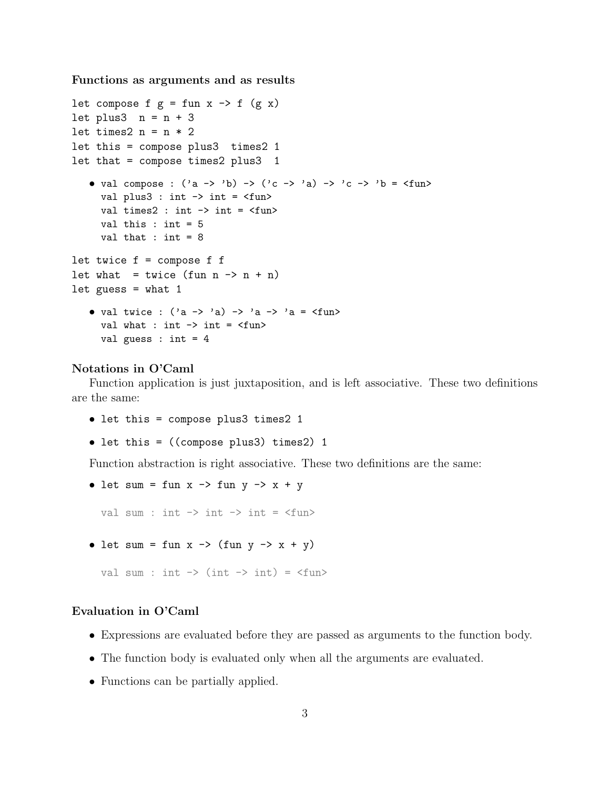Functions as arguments and as results

```
let compose f g = fun x \rightarrow f (g x)let plus3 n = n + 3
let times2 n = n * 2let this = compose plus3 times2 1
let that = compose times2 plus3 1
   • val compose : ('a \rightarrow 'b) \rightarrow ('c \rightarrow 'a) \rightarrow 'c \rightarrow 'b = \langle func \rangleval plus3 : int -> int = <fun>
      val times2: int \rightarrow int = \langlefun\rangleval this : int = 5val that : int = 8let twice f = compose f f
let what = twice (fun n \rightarrow n + n)
let guess = what 1
    • val twice : ('a \rightarrow 'a) \rightarrow 'a \rightarrow 'a = \frac{\text{tun}}{\text{}}val what : int \rightarrow int = \langlefun\rangleval guess : int = 4
```
# Notations in O'Caml

Function application is just juxtaposition, and is left associative. These two definitions are the same:

- let this = compose plus3 times2 1
- let this = ((compose plus3) times2) 1

Function abstraction is right associative. These two definitions are the same:

• let sum = fun  $x \rightarrow$  fun  $y \rightarrow x + y$ 

val sum : int  $\rightarrow$  int  $\rightarrow$  int =  $\langle$ fun>

• let sum = fun  $x \rightarrow$  (fun  $y \rightarrow x + y$ )

val sum : int  $\rightarrow$  (int  $\rightarrow$  int) =  $\langle$ fun>

#### Evaluation in O'Caml

- Expressions are evaluated before they are passed as arguments to the function body.
- The function body is evaluated only when all the arguments are evaluated.
- Functions can be partially applied.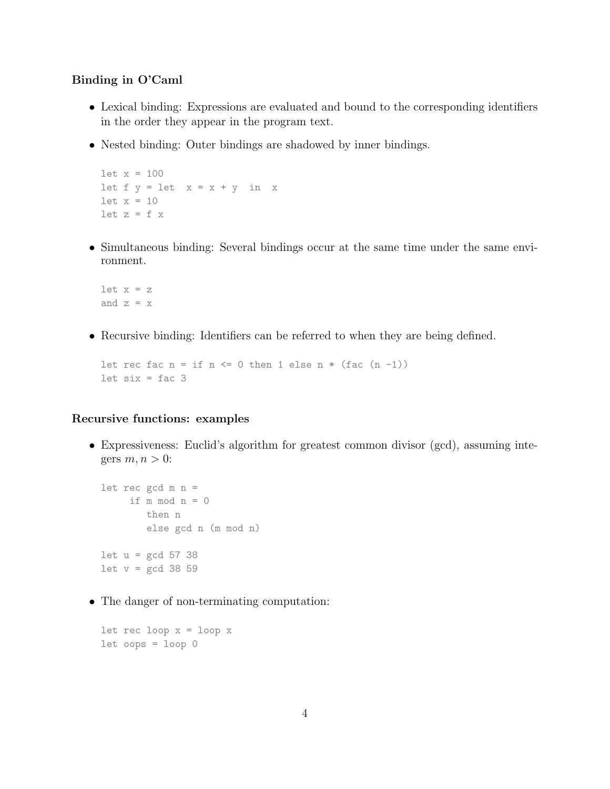# Binding in O'Caml

- Lexical binding: Expressions are evaluated and bound to the corresponding identifiers in the order they appear in the program text.
- Nested binding: Outer bindings are shadowed by inner bindings.

```
let x = 100let f y = let x = x + y in xlet x = 10let z = f x
```
• Simultaneous binding: Several bindings occur at the same time under the same environment.

let  $x = z$ and  $z = x$ 

• Recursive binding: Identifiers can be referred to when they are being defined.

```
let rec fac n = if n \le 0 then 1 else n * (fac (n -1))let six = fac 3
```
# Recursive functions: examples

• Expressiveness: Euclid's algorithm for greatest common divisor (gcd), assuming integers  $m, n > 0$ :

```
let rec gcd m n =
     if m \mod n = 0then n
        else gcd n (m mod n)
let u = \gcd 57 38let v = \text{gcd } 38 59
```
• The danger of non-terminating computation:

```
let rec loop x = loop xlet oops = loop 0
```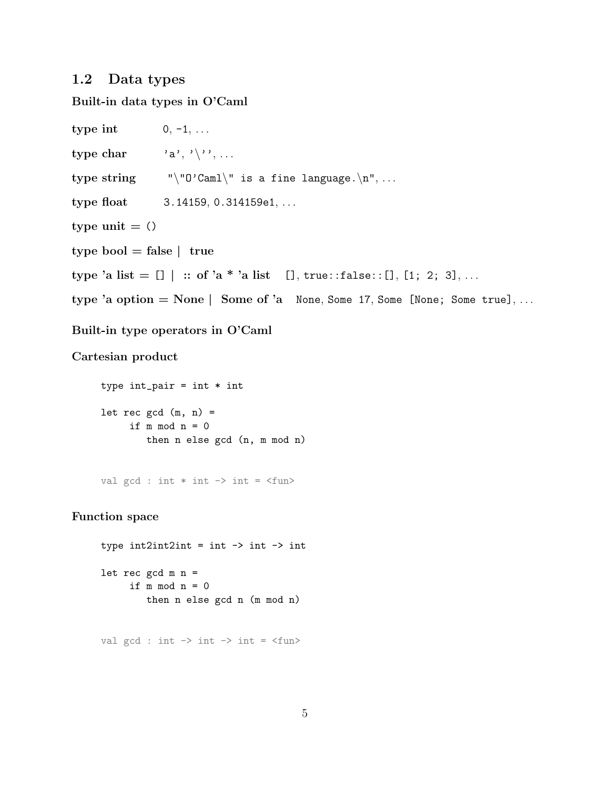# 1.2 Data types

Built-in data types in O'Caml

type int  $0, -1, \ldots$ type char  $\{a', \dots, a'\}$ type string  $"\$  " $0'$ Caml $\'$  is a fine language. $\n\cdot \ldots$ type float 3.14159, 0.314159e1, ... type unit  $=$  () type bool  $=$  false  $|$  true type 'a list =  $[] \mid ::$  of 'a \* 'a list  $[]$ , true::false:: $[]$ ,  $[1; 2; 3]$ , ... type 'a option = None | Some of 'a None, Some 17, Some [None; Some true], ...

Built-in type operators in O'Caml

Cartesian product

type  $int\_pair = int * int$ let rec  $gcd(m, n) =$ if  $m \mod n = 0$ then n else gcd (n, m mod n)

val gcd : int  $*$  int  $\rightarrow$  int =  $\langle$ fun $\rangle$ 

Function space

type  $int2int2int = int -\gt int -\gt int$ let rec  $gcd m n =$ if  $m \mod n = 0$ then n else gcd n (m mod n)

val gcd : int  $\rightarrow$  int  $\rightarrow$  int =  $\langle$ fun>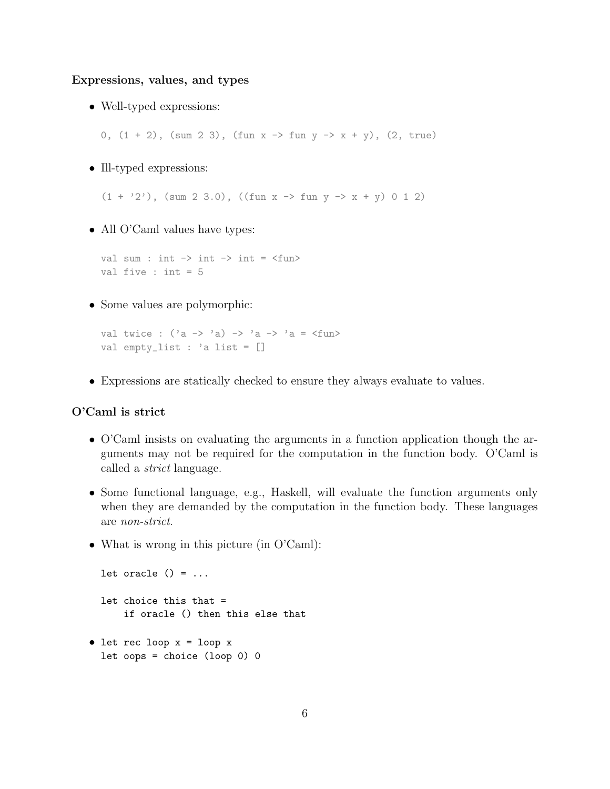Expressions, values, and types

• Well-typed expressions:

0,  $(1 + 2)$ ,  $(sum 2 3)$ ,  $fun x \rightarrow fun y \rightarrow x + y)$ ,  $(2, true)$ 

• Ill-typed expressions:

 $(1 + '2')$ ,  $(sum 2 3.0)$ ,  $((fun x -> fun y -> x + y) 0 1 2)$ 

• All O'Caml values have types:

val sum : int  $\rightarrow$  int  $\rightarrow$  int =  $\langle$ fun> val five : int = 5

• Some values are polymorphic:

```
val twice : (\lambda a \rightarrow \lambda a) \rightarrow \lambda a \rightarrow \lambda a = \langle f \rangleval empty_list : 'a list = []
```
• Expressions are statically checked to ensure they always evaluate to values.

# O'Caml is strict

- O'Caml insists on evaluating the arguments in a function application though the arguments may not be required for the computation in the function body. O'Caml is called a strict language.
- Some functional language, e.g., Haskell, will evaluate the function arguments only when they are demanded by the computation in the function body. These languages are non-strict.
- What is wrong in this picture (in O'Caml):

```
let oracle () = ...let choice this that =
      if oracle () then this else that
• let rec loop x = loop x
```
let oops = choice (loop 0) 0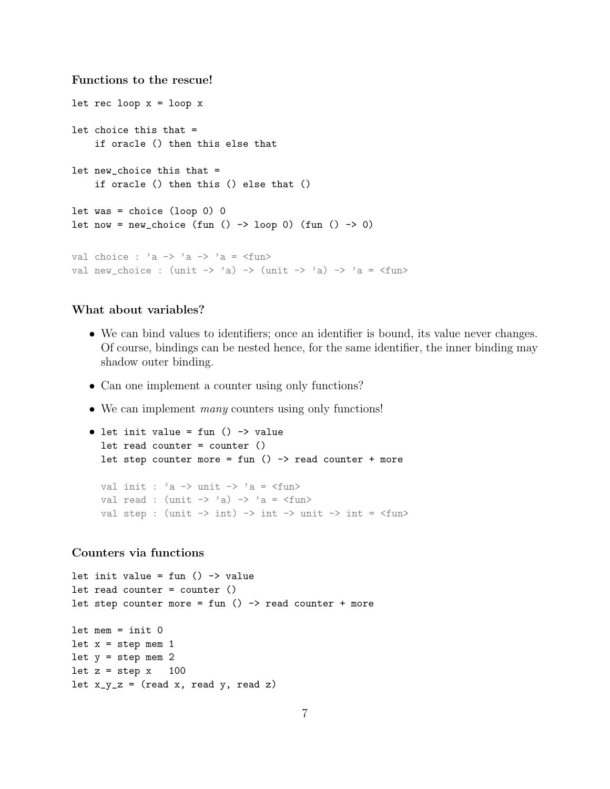# Functions to the rescue!

```
let rec loop x = loop xlet choice this that =
     if oracle () then this else that
let new_choice this that =
     if oracle () then this () else that ()
let was = choice (logo) 0
let now = new_choice (fun () \rightarrow loop 0) (fun () \rightarrow 0)
val choice : 'a \rightarrow 'a \rightarrow 'a = \langlefun>
val new_choice : (unit \rightarrow 'a) \rightarrow (unit \rightarrow 'a) \rightarrow 'a = \langle fun \rangle
```
# What about variables?

- We can bind values to identifiers; once an identifier is bound, its value never changes. Of course, bindings can be nested hence, for the same identifier, the inner binding may shadow outer binding.
- Can one implement a counter using only functions?
- We can implement *many* counters using only functions!

```
\bullet let init value = fun () -> value
   let read counter = counter ()let step counter more = fun () \rightarrow read counter + more
   val init : a \rightarrow unit \rightarrow a = <fun>
   val read : (unit \rightarrow 'a) \rightarrow 'a = \langle fun \rangleval step : (\text{unit} \rightarrow \text{int}) \rightarrow \text{int} \rightarrow \text{unit} \rightarrow \text{int} = \langle \text{fun} \rangle
```
# Counters via functions

```
let init value = fun () \rightarrow value
let read counter = counter ()
let step counter more = fun () \rightarrow read counter + more
let mem = init 0
let x = step mem 1
let y = step mem 2
let z = step x 100
let x_y_z = (read x, read y, read z)
```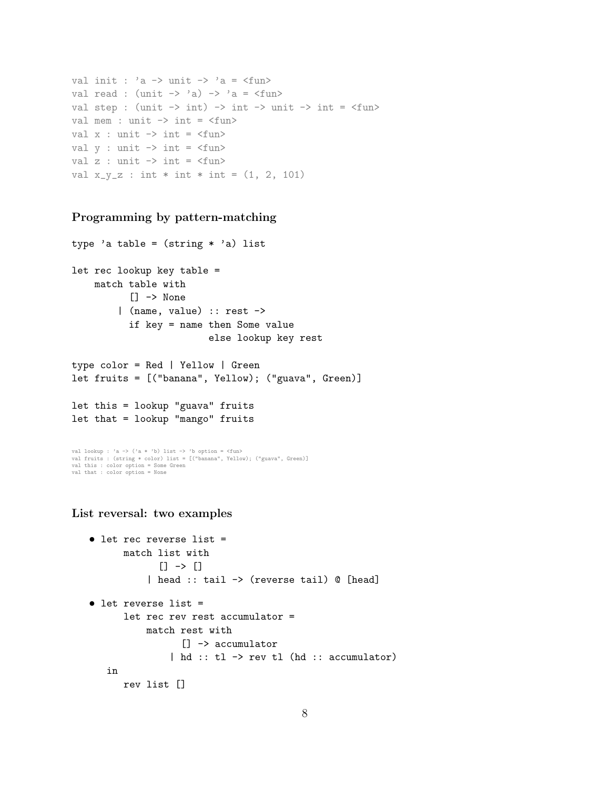```
val init : 'a \rightarrow unit \rightarrow 'a = \langlefun>
val read : (unit \rightarrow 'a) \rightarrow 'a = \langle fun \rangleval step : (unit \rightarrow int) \rightarrow int \rightarrow unit \rightarrow int = \langle fun \rangleval mem : unit \rightarrow int = \langlefun>
val x : unit \rightarrow int = \langle fun \rangleval y : unit \rightarrow int = \langle fun \rangleval z : unit \rightarrow int = \langlefun\rangleval x_{y_{z}} = \int \int \frac{1}{x} \, dx : int * int * int = (1, 2, 101)
```
#### Programming by pattern-matching

```
type 'a table = (\text{string} * 'a) list
let rec lookup key table =
    match table with
          [] -> None
        | (name, value) :: rest ->
          if key = name then Some value
                         else lookup key rest
type color = Red | Yellow | Green
let fruits = [("banana", Yellow); ("guava", Green)]
let this = lookup "guava" fruits
```

```
let that = lookup "mango" fruits
```

```
val lookup : 'a -> ('a * 'b) list -> 'b option = <fun><br>val fruits : (string * color) list = [("banana", Yellow); ("guava", Green)]<br>val this : color option = Some Green
val that : color option = None
```
List reversal: two examples

```
• let rec reverse list =
      match list with
             [] \rightarrow []| head :: tail -> (reverse tail) @ [head]
• let reverse list =
      let rec rev rest accumulator =
          match rest with
                 [] -> accumulator
               | hd :: tl -> rev tl (hd :: accumulator)
   in
      rev list []
```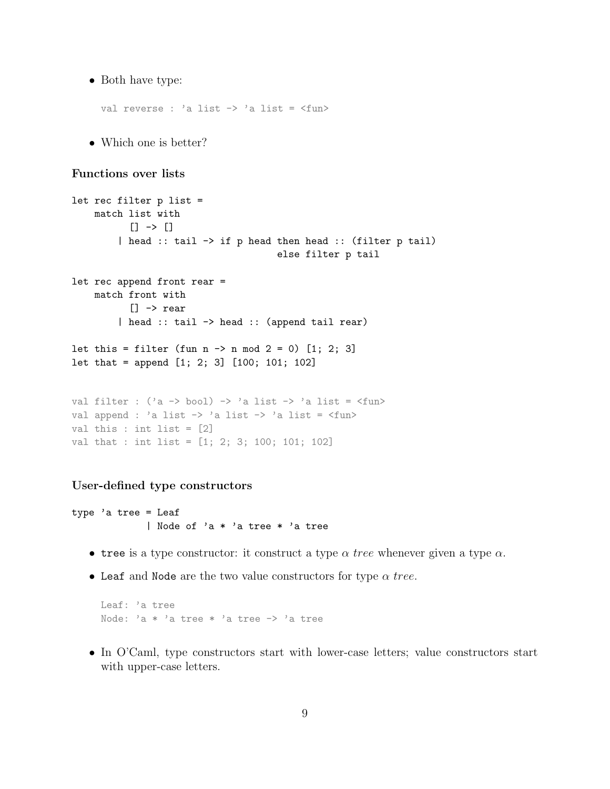• Both have type:

val reverse : 'a list -> 'a list = <fun>

• Which one is better?

# Functions over lists

```
let rec filter p list =
    match list with
           [] -> []
         | head :: tail -> if p head then head :: (filter p tail)
                                         else filter p tail
let rec append front rear =
    match front with
           [] -> rear
         | head :: tail -> head :: (append tail rear)
let this = filter (fun n \rightarrow n \mod 2 = 0) [1; 2; 3]
let that = append [1; 2; 3] [100; 101; 102]
val filter : ('a \rightarrow bool) \rightarrow 'a list \rightarrow 'a list = \langle fun \rangleval append : 'a list \rightarrow 'a list \rightarrow 'a list = \tanval this : int list = [2]
val that : int list = [1; 2; 3; 100; 101; 102]
```
#### User-defined type constructors

type 'a tree = Leaf | Node of 'a \* 'a tree \* 'a tree

- tree is a type constructor: it construct a type  $\alpha$  tree whenever given a type  $\alpha$ .
- Leaf and Node are the two value constructors for type  $\alpha$  tree.

Leaf: 'a tree Node: 'a \* 'a tree \* 'a tree -> 'a tree

• In O'Caml, type constructors start with lower-case letters; value constructors start with upper-case letters.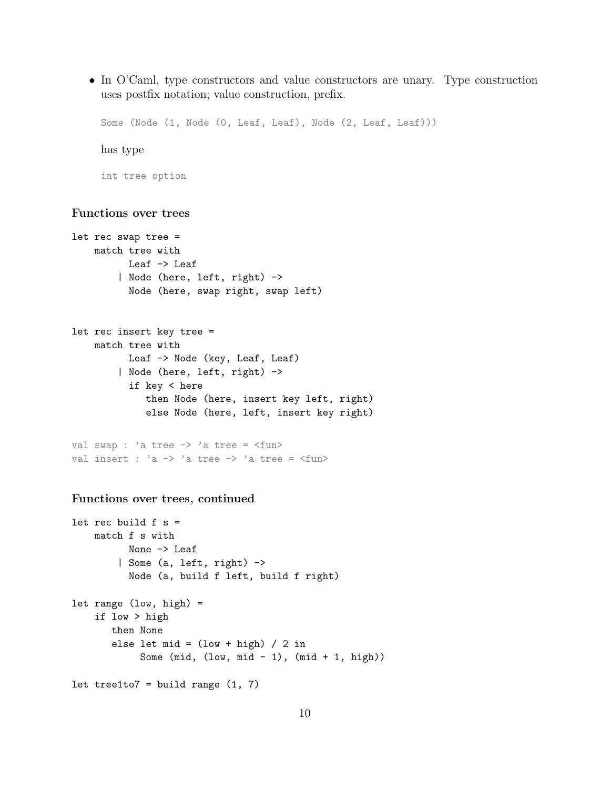• In O'Caml, type constructors and value constructors are unary. Type construction uses postfix notation; value construction, prefix.

Some (Node (1, Node (0, Leaf, Leaf), Node (2, Leaf, Leaf)))

has type

int tree option

# Functions over trees

```
let rec swap tree =
    match tree with
          Leaf -> Leaf
        | Node (here, left, right) ->
          Node (here, swap right, swap left)
let rec insert key tree =
    match tree with
          Leaf -> Node (key, Leaf, Leaf)
        | Node (here, left, right) ->
          if key < here
             then Node (here, insert key left, right)
             else Node (here, left, insert key right)
val swap : 'a tree -> 'a tree = <fun>
val insert : a \rightarrow a tree -> a \text{ tree} = \text{min}Functions over trees, continued
let rec build f s =
    match f s with
          None -> Leaf
        | Some (a, left, right) ->
```

```
let range (low, high) =
   if low > high
       then None
       else let mid = (low + high) / 2 inSome (mid, (low, mid - 1), (mid + 1, high))
let tree1to7 = build range (1, 7)
```
Node (a, build f left, build f right)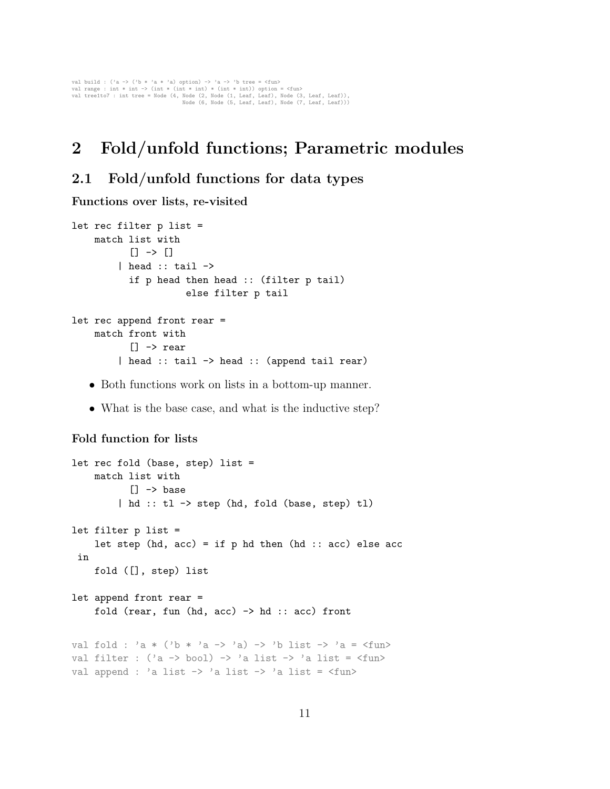val build : ('a -> ('b \* 'a \* 'a) option) -> 'a -> 'b tree = <fun><br>val range : int \* int -> (int \* (int \* int) \* (int \* int) option = <fun><br>val treetto7 : int tree = Node (4, Node (5, Node (5, Leaf, Leaf), Node (7, Leaf, L

# 2 Fold/unfold functions; Parametric modules

# 2.1 Fold/unfold functions for data types

Functions over lists, re-visited

```
let rec filter p list =
    match list with
           [] -> []| head :: tail \rightarrowif p head then head :: (filter p tail)
                      else filter p tail
let rec append front rear =
    match front with
           [] \rightarrow rear
         | head :: tail -> head :: (append tail rear)
```
- Both functions work on lists in a bottom-up manner.
- What is the base case, and what is the inductive step?

# Fold function for lists

```
let rec fold (base, step) list =
    match list with
           \Box -> base
         | hd :: tl -> step (hd, fold (base, step) tl)
let filter p list =
    let step (hd, acc) = if p hd then (hd :: acc) else accin
    fold ([], step) list
let append front rear =
    fold (rear, fun (hd, acc) \rightarrow hd :: acc) front
val fold : 'a * ('b * 'a -> 'a) -> 'b list -> 'a = <fun>
val filter : ('a \rightarrow bool) \rightarrow 'a list \rightarrow 'a list = \langle func \rangleval append : 'a list -> 'a list -> 'a list = <fun>
```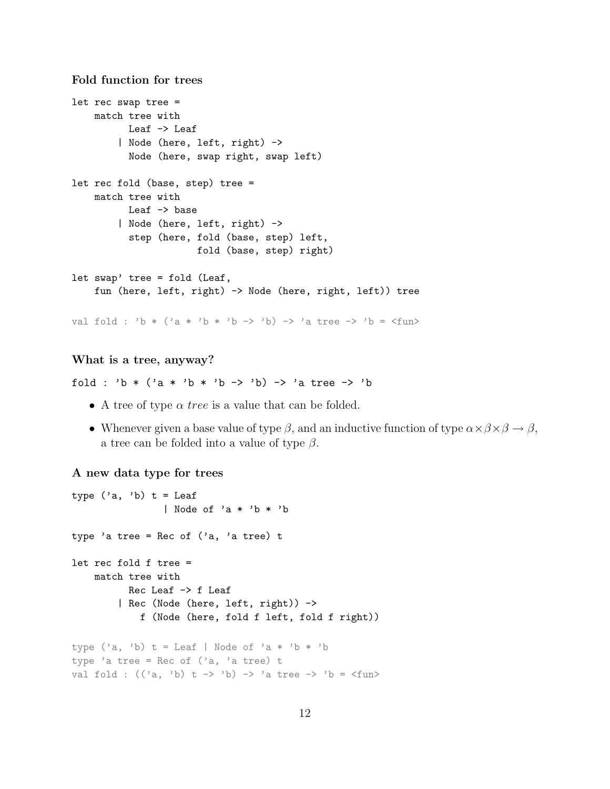Fold function for trees

```
let rec swap tree =
    match tree with
          Leaf -> Leaf
        | Node (here, left, right) ->
          Node (here, swap right, swap left)
let rec fold (base, step) tree =
    match tree with
          Leaf -> base
        | Node (here, left, right) ->
          step (here, fold (base, step) left,
                      fold (base, step) right)
let swap' tree = fold (Leaf,
    fun (here, left, right) -> Node (here, right, left)) tree
val fold : 'b * ('a * 'b * 'b -> 'b) -> 'a tree -> 'b = \times fun>
```
#### What is a tree, anyway?

fold : 'b \* ('a \* 'b \* 'b -> 'b) -> 'a tree -> 'b

- A tree of type  $\alpha$  tree is a value that can be folded.
- Whenever given a base value of type  $\beta$ , and an inductive function of type  $\alpha \times \beta \times \beta \rightarrow \beta$ , a tree can be folded into a value of type  $\beta$ .

#### A new data type for trees

```
type ('a, 'b) t = Leaf
                | Node of 'a * 'b * 'b
type 'a tree = Rec of ('a, 'a tree) t
let rec fold f tree =
   match tree with
          Rec Leaf -> f Leaf
        | Rec (Node (here, left, right)) ->
            f (Node (here, fold f left, fold f right))
type ('a, 'b) t = Leaf | Node of 'a * 'b * 'b
type 'a tree = Rec of ('a, 'a tree) t
val fold : ((a, 'b) t -> 'b) -> 'a tree -> 'b =<fun>
```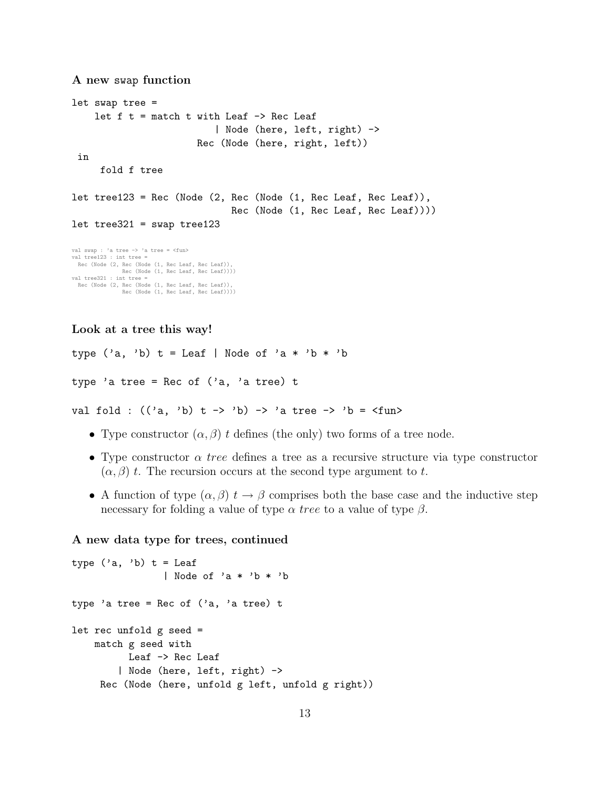```
A new swap function
let swap tree =
     let f t = match t with Leaf \rightarrow Rec Leaf
                                     | Node (here, left, right) ->
                                Rec (Node (here, right, left))
 in
       fold f tree
let tree123 = Rec (Node (2, Rec (Node (1, Rec Leaf, Rec Leaf)),
                                         Rec (Node (1, Rec Leaf, Rec Leaf))))
let tree321 = swap tree123val swap : 'a tree -> 'a tree = <fun>
val tree123 : int tree =
Rec (Node (2, Rec (Node (1, Rec Leaf, Rec Leaf)),
            Rec (Node (1, Rec Leaf, Rec Leaf))))
val tree321 : int tree =
  Rec (Node (2, Rec (Node (1, Rec Leaf, Rec Leaf)),
Rec (Node (1, Rec Leaf, Rec Leaf))))
```
Look at a tree this way!

```
type ('a, 'b) t = Leaf | Node of 'a * 'b * 'b
type 'a tree = Rec of ('a, 'a tree) t
```
val fold :  $((a, 'b) t -> 'b) -> 'a tree -> 'b =$ 

- Type constructor  $(\alpha, \beta)$  t defines (the only) two forms of a tree node.
- Type constructor  $\alpha$  tree defines a tree as a recursive structure via type constructor  $(\alpha, \beta)$  t. The recursion occurs at the second type argument to t.
- A function of type  $(\alpha, \beta)$   $t \to \beta$  comprises both the base case and the inductive step necessary for folding a value of type  $\alpha$  tree to a value of type  $\beta$ .

## A new data type for trees, continued

```
type ('a, 'b) t = Leaf
                | Node of 'a * 'b * 'b
type 'a tree = Rec of ('a, 'a tree) t
let rec unfold g seed =
    match g seed with
          Leaf -> Rec Leaf
        | Node (here, left, right) ->
    Rec (Node (here, unfold g left, unfold g right))
```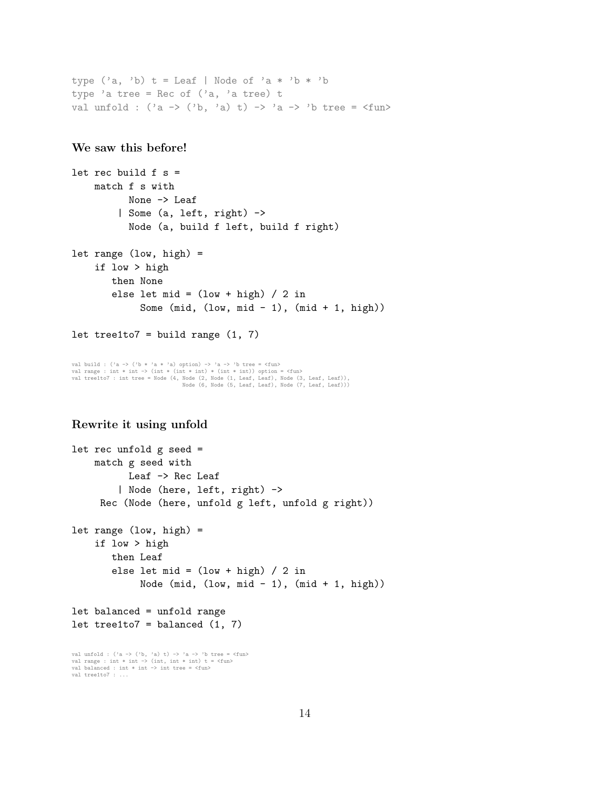```
type ('a, 'b) t = Leaf | Node of 'a * 'b * 'b
type 'a tree = Rec of ('a, 'a tree) t
val unfold : ('a \rightarrow ('b, 'a) t) \rightarrow 'a \rightarrow 'b tree = \langle fun \rangle
```
# We saw this before!

```
let rec build f s =
   match f s with
          None -> Leaf
        | Some (a, left, right) ->
          Node (a, build f left, build f right)
let range (low, high) =
    if low > high
       then None
       else let mid = (low + high) / 2 inSome (mid, (low, mid - 1), (mid + 1, high))
```

```
let tree1to7 = build range (1, 7)
```
val build : ('a -> ('b \* 'a \* 'a) option) -> 'a -> 'b tree = <fun> val range : int \* int -> (int \* (int \* int) \* (int \* int)) option = <fun> val tree1to7 : int tree = Node (4, Node (2, Node (1, Leaf, Leaf), Node (3, Leaf, Leaf)), Node (6, Node (5, Leaf, Leaf), Node (7, Leaf, Leaf)))

# Rewrite it using unfold

val tree1to7 : ...

```
let rec unfold g seed =
     match g seed with
             Leaf -> Rec Leaf
           | Node (here, left, right) ->
      Rec (Node (here, unfold g left, unfold g right))
let range (low, high) =
     if low > high
         then Leaf
         else let mid = (low + high) / 2 inNode (mid, (low, mid - 1), (mid + 1, high))
let balanced = unfold range
let tree1to7 = balanced (1, 7)val unfold : ('a -> ('b, 'a) t) -> 'a -> 'b tree = <fun>
val range : int * int -> (int, int * int) t = <fun>
val balanced : int * int \rightarrow int tree = \langlefun\rangle
```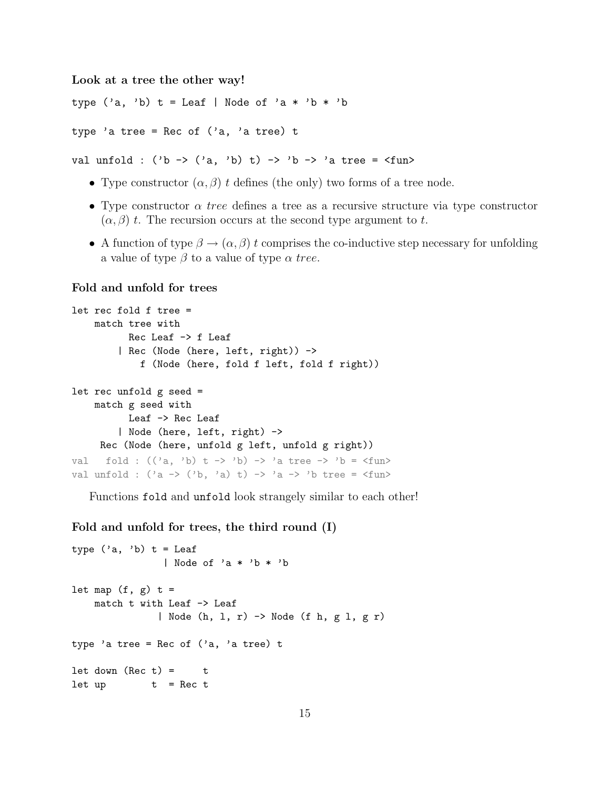Look at a tree the other way!

type ('a, 'b)  $t =$  Leaf | Node of 'a \* 'b \* 'b

type 'a tree = Rec of  $('a, 'a tree)$  t

val unfold :  $('b \rightarrow ('a, 'b) t) \rightarrow 'b \rightarrow 'a$  tree =  $\langle fun \rangle$ 

- Type constructor  $(\alpha, \beta)$  t defines (the only) two forms of a tree node.
- Type constructor  $\alpha$  tree defines a tree as a recursive structure via type constructor  $(\alpha, \beta)$  t. The recursion occurs at the second type argument to t.
- A function of type  $\beta \to (\alpha, \beta)$  t comprises the co-inductive step necessary for unfolding a value of type  $\beta$  to a value of type  $\alpha$  tree.

#### Fold and unfold for trees

```
let rec fold f tree =
     match tree with
             Rec Leaf -> f Leaf
           | Rec (Node (here, left, right)) ->
                f (Node (here, fold f left, fold f right))
let rec unfold g seed =
     match g seed with
             Leaf -> Rec Leaf
           | Node (here, left, right) ->
      Rec (Node (here, unfold g left, unfold g right))
val fold : ((a, 'b) t \rightarrow 'b) \rightarrow 'a tree \rightarrow 'b = \langle fun \rangleval unfold : (\overline{a} \rightarrow (\overline{b}, \overline{a}) \overline{t}) \rightarrow \overline{a} \rightarrow \overline{b} tree = \langle fun \rangle
```
Functions fold and unfold look strangely similar to each other!

Fold and unfold for trees, the third round (I)

```
type ('a, 'b) t = Leaf
               | Node of 'a * 'b * 'b
let map (f, g) t =
   match t with Leaf -> Leaf
              | Node (h, l, r) -> Node (f h, g l, g r)
type 'a tree = Rec of ('a, 'a tree) t
let down (Rec t) = tlet up t = Rec t
```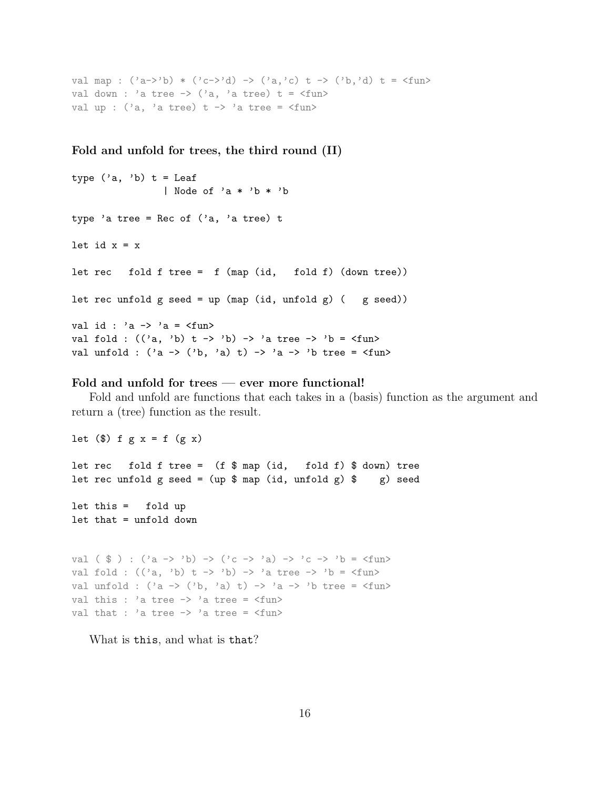```
val map : ('a->'b) * ('c->'d) -> ('a,'c) + -> ('b,'d) + = <fun>val down : 'a tree \rightarrow ('a, 'a tree) t = \langlefun>
val up : (2a, 2a) tree) t -> 2a tree = \langlefun>
```
Fold and unfold for trees, the third round (II)

```
type ('a, 'b) t = Leaf
                  | Node of 'a * 'b * 'b
type 'a tree = Rec of ('a, 'a tree) t
let id x = xlet rec fold f tree = f (map (id, fold f) (down tree))
let rec unfold g seed = up (map (id, unfold g) ( g seed))
val id : 'a \rightarrow 'a = \langlefun>
val fold : ((a, 'b) t -> 'b) -> 'a tree -> 'b =<fun>val unfold : ('a \rightarrow ('b, 'a) t) \rightarrow 'a \rightarrow 'b tree = \langle fun \rangle
```
# Fold and unfold for trees — ever more functional!

Fold and unfold are functions that each takes in a (basis) function as the argument and return a (tree) function as the result.

let  $(\text{$})$  f g x = f  $(g \text{ x})$ let rec fold f tree =  $(f * map (id, fold f) * down)$  tree let rec unfold g seed = (up  $\frac{1}{2}$  map (id, unfold g)  $\frac{1}{2}$  g) seed let this = fold up let that = unfold down val (  $\$$  ) : ('a -> 'b) -> ('c -> 'a) -> 'c -> 'b = <fun> val fold :  $((a, 'b) t \rightarrow 'b) \rightarrow 'a tree \rightarrow 'b = \langle fun \rangle$ val unfold :  $(\lambda a \rightarrow (\lambda b, \lambda a) t) \rightarrow \lambda a \rightarrow \lambda b$  tree =  $\langle f$ un> val this : 'a tree  $\rightarrow$  'a tree =  $\langle$ fun>

What is this, and what is that?

val that : 'a tree  $\rightarrow$  'a tree =  $\langle$ fun>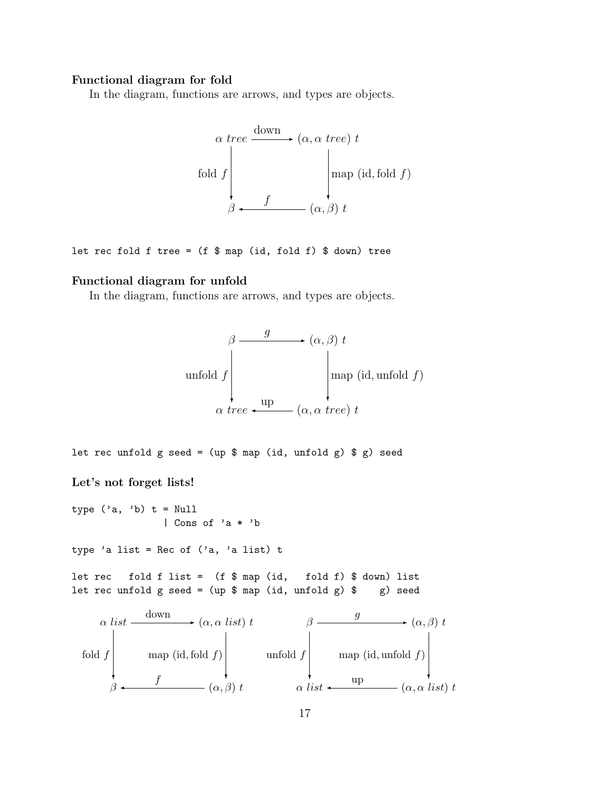# Functional diagram for fold

In the diagram, functions are arrows, and types are objects.

$$
\alpha \, tree \xrightarrow{\text{down}} (\alpha, \alpha \, tree) \, t
$$
\n
$$
\text{fold } f \qquad \qquad \text{map } (\text{id}, \text{fold } f)
$$
\n
$$
\beta \longleftarrow f \qquad (\alpha, \beta) \, t
$$

let rec fold f tree =  $(f $ map (id, fold f) $ down)$  tree

# Functional diagram for unfold

In the diagram, functions are arrows, and types are objects.

$$
\beta \longrightarrow (\alpha, \beta) t
$$
\nunfold  $f$ 

\n
$$
\alpha \text{ tree } \longleftarrow \text{ up}
$$
\n
$$
(\alpha, \alpha \text{ tree}) t
$$

let rec unfold g seed =  $(up $ map (id, unfold g) $ g)$  seed Let's not forget lists! type  $('a, 'b)$  t = Null | Cons of 'a \* 'b type 'a list = Rec of  $('a, 'a list)$  t let rec fold f list =  $(f \$  map (id, fold f)  $\$  down) list let rec unfold g seed = (up  $\frac{1}{2}$  map (id, unfold g)  $\frac{1}{2}$  g) seed  $\alpha$  liet  $\frac{\text{down}}{\text{max}} (\alpha, \alpha \text{ list}) t$  β  $\frac{g}{\sqrt{g}}$  ( $\alpha$ ,  $\beta$ ) t

$$
\begin{array}{c}\n\alpha \text{ list} & \xrightarrow{\alpha} (\alpha, \alpha \text{ list}) \text{ } t \\
\text{fold } f \text{ map } (\text{id}, \text{fold } f) \text{ and } f \text{ map } (\text{id}, \text{unfold } f) \text{ and } f \text{ map } (\text{id}, \text{unfold } f) \text{ and } f \text{ map } (\text{id}, \text{unfold } f) \text{ and } f \text{ map } (\text{id}, \text{valid}) \text{ and } f \text{ map } (\text{id}, \text{valid}) \text{ and } f \text{ map } (\text{id}, \text{valid}) \text{ and } f \text{ map } (\text{id}, \text{valid}) \text{ and } f \text{ map } (\text{id}, \text{valid}) \text{ and } f \text{ map } (\text{id}, \text{valid}) \text{ and } f \text{ map } (\text{id}, \text{valid}) \text{ and } f \text{ map } (\text{id}, \text{valid}) \text{ and } f \text{ map } (\text{id}, \text{valid}) \text{ and } f \text{ map } (\text{id}, \text{valid}) \text{ and } f \text{ map } (\text{id}, \text{valid}) \text{ and } f \text{ map } (\text{id}, \text{valid}) \text{ and } f \text{ map } (\text{id}, \text{valid}) \text{ and } f \text{ map } (\text{id}, \text{valid}) \text{ and } f \text{ map } (\text{id}, \text{valid}) \text{ and } f \text{ map } (\text{id}, \text{valid}) \text{ and } f \text{ map } (\text{id}, \text{valid}) \text{ and } f \text{ map } (\text{id}, \text{valid}) \text{ and } f \text{ map } (\text{id}, \text{valid}) \text{ and } f \text{ map } (\text{id}, \text{valid}) \text{ and } f \text{ map } (\text{id}, \text{valid}) \text{ and } f \text{ map } (\text{id}, \text{valid}) \text{ and } f \text{ map } (\text{id}, \text{valid}) \text{ and } f \text{ map } (\text{id}, \text{valid}) \text{ and } f \text{ map } (\text{id}, \text{valid}) \text{ and } f \text{ map } (\text{id}, \text{valid}) \text{ and } f \text{ map } (\text{id}, \text{valid}) \text{ and } f \text{ map } (\text{id}, \text{valid}) \text{ and } f \text{ map } (\text{id}, \text{valid}) \text{ and } f \text{ map } (\text{id}, \text{valid}) \text{ and } f \text{ map } (\text{id}, \text{valid}) \text{ and } f \text{ map } (\text{id
$$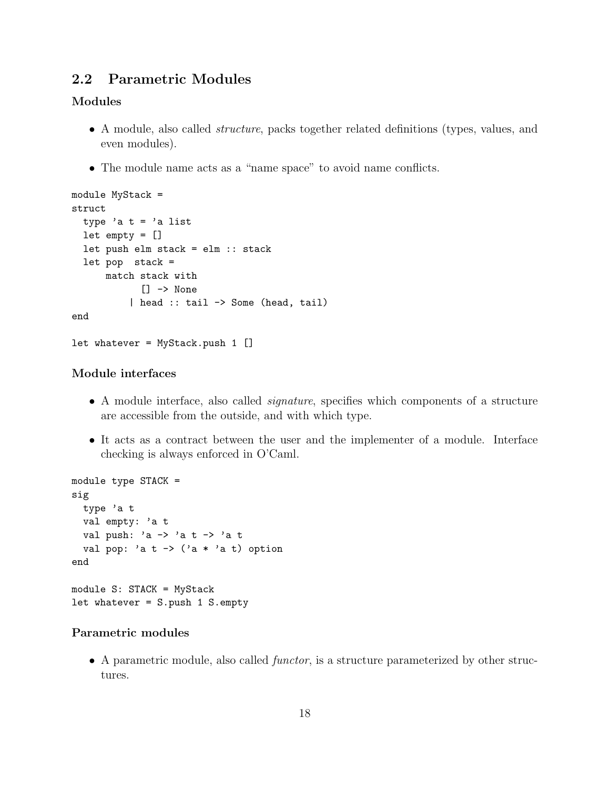# 2.2 Parametric Modules

# Modules

- A module, also called *structure*, packs together related definitions (types, values, and even modules).
- The module name acts as a "name space" to avoid name conflicts.

```
module MyStack =
struct
 type 'a t = 'a list
 let empty = []let push elm stack = elm :: stack
 let pop stack =
     match stack with
            [] -> None
          | head :: tail -> Some (head, tail)
end
let whatever = MyStack.push 1 []
```
# Module interfaces

- A module interface, also called *signature*, specifies which components of a structure are accessible from the outside, and with which type.
- It acts as a contract between the user and the implementer of a module. Interface checking is always enforced in O'Caml.

```
module type STACK =
sig
 type 'a t
 val empty: 'a t
 val push: 'a -> 'a t -> 'a t
 val pop: 'a t \rightarrow ('a * 'a t) option
end
module S: STACK = MyStack
let whatever = S.push 1 S.empty
```
# Parametric modules

• A parametric module, also called *functor*, is a structure parameterized by other structures.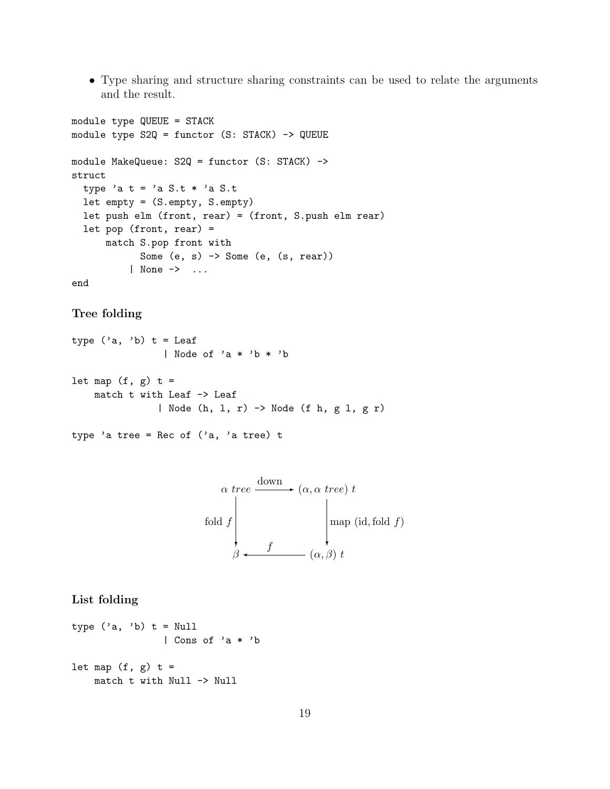• Type sharing and structure sharing constraints can be used to relate the arguments and the result.

```
module type QUEUE = STACK
module type S2Q = functor (S: STACK) -> QUEUE
module MakeQueue: S2Q = functor (S: STACK) ->
struct
  type 'a t = 'a S.t * 'a S.tlet empty = (S.empty, S.empty)
 let push elm (front, rear) = (front, S.push elm rear)
 let pop (front, rear) =
      match S.pop front with
            Some (e, s) \rightarrow Some (e, (s, rear))| None -> ...
end
```
## Tree folding

type  $('a, 'b)$  t = Leaf | Node of 'a \* 'b \* 'b let map  $(f, g)$  t = match t with Leaf -> Leaf | Node (h, l, r) -> Node (f h, g l, g r)

type 'a tree = Rec of  $('a, 'a tree)$  t



#### List folding

```
type ('a, 'b) t = Null
                | Cons of 'a * 'b
let map (f, g) t =
    match t with Null -> Null
```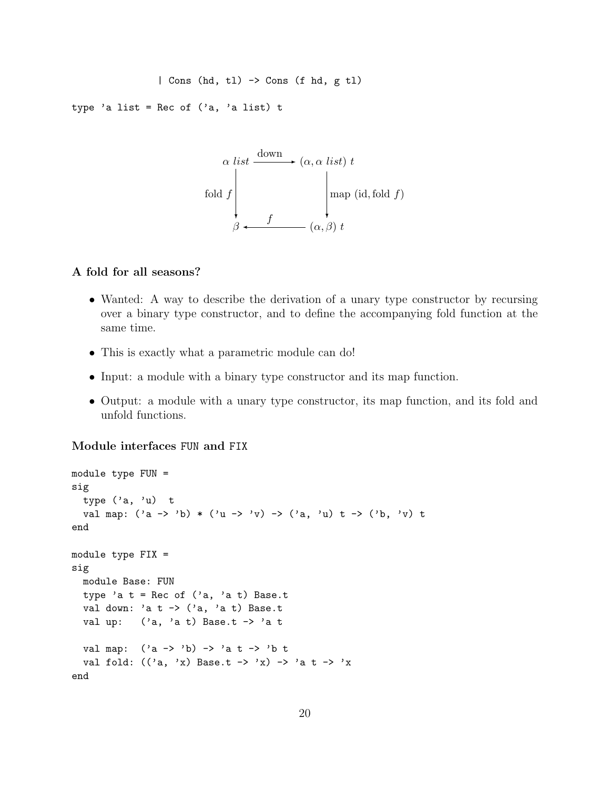```
| Cons (hd, tl) -> Cons (f hd, g tl)
```
type 'a list = Rec of  $('a, 'a list)$  t

$$
\alpha \text{ list} \xrightarrow{\text{down}} (\alpha, \alpha \text{ list}) \text{ } t
$$
\n
$$
\text{fold } f \qquad \qquad \downarrow \text{map } (\text{id}, \text{fold } f)
$$
\n
$$
\beta \longleftarrow f \qquad (\alpha, \beta) \text{ } t
$$

# A fold for all seasons?

- Wanted: A way to describe the derivation of a unary type constructor by recursing over a binary type constructor, and to define the accompanying fold function at the same time.
- This is exactly what a parametric module can do!
- Input: a module with a binary type constructor and its map function.
- Output: a module with a unary type constructor, its map function, and its fold and unfold functions.

#### Module interfaces FUN and FIX

```
module type FUN =
sig
  type ('a, 'u) t
  val map: ('a \rightarrow 'b) * ('u \rightarrow 'v) \rightarrow ('a, 'u) t \rightarrow ('b, 'v) tend
module type FIX =
sig
  module Base: FUN
  type 'a t = Rec of ('a, 'a t) Base.tval down: 'a t \rightarrow ('a, 'a t) Base.t
  val up: ('a, 'a t) Base.t \rightarrow 'a tval map: ('a \rightarrow 'b) \rightarrow 'a t \rightarrow 'b tval fold: ((a, 'x) Base.t -> 'x) -> 'a t -> 'x
end
```